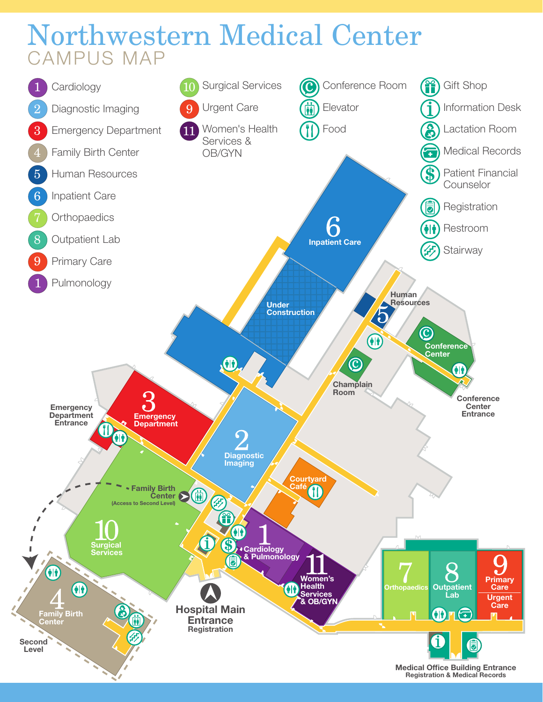## Northwestern Medical Center CAMPUS MAP